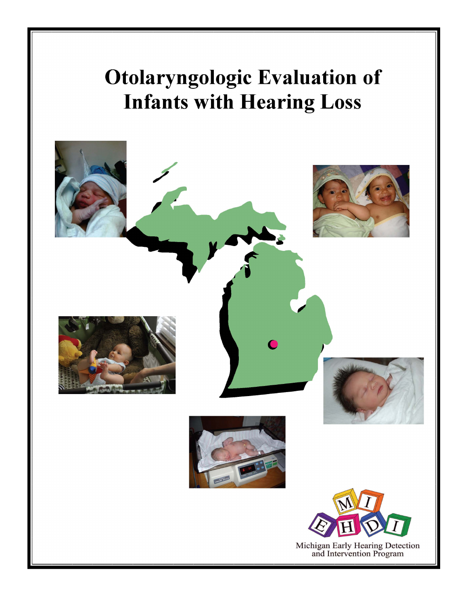# **Otolaryngologic Evaluation of Infants with Hearing Loss**

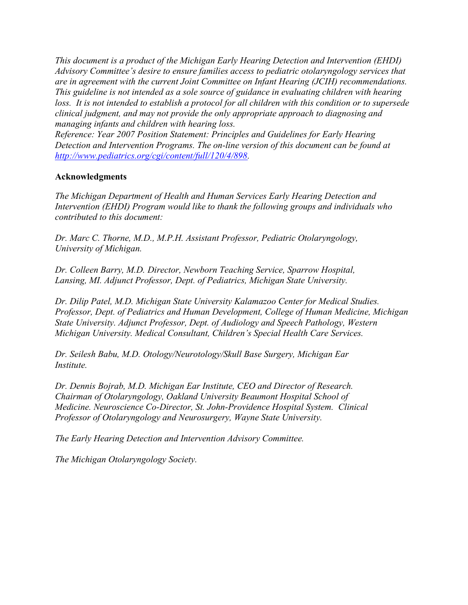This document is a product of the Michigan Early Hearing Detection and Intervention (EHDI) Advisory Committee's desire to ensure families access to pediatric otolaryngology services that are in agreement with the current Joint Committee on Infant Hearing (JCIH) recommendations. This guideline is not intended as a sole source of guidance in evaluating children with hearing loss. It is not intended to establish a protocol for all children with this condition or to supersede clinical judgment, and may not provide the only appropriate approach to diagnosing and managing infants and children with hearing loss.

Reference: Year 2007 Position Statement: Principles and Guidelines for Early Hearing Detection and Intervention Programs. The on-line version of this document can be found at http://www.pediatrics.org/cgi/content/full/120/4/898.

#### Acknowledgments

The Michigan Department of Health and Human Services Early Hearing Detection and Intervention (EHDI) Program would like to thank the following groups and individuals who contributed to this document:

Dr. Marc C. Thorne, M.D., M.P.H. Assistant Professor, Pediatric Otolaryngology, University of Michigan.

Dr. Colleen Barry, M.D. Director, Newborn Teaching Service, Sparrow Hospital, Lansing, MI. Adjunct Professor, Dept. of Pediatrics, Michigan State University.

Dr. Dilip Patel, M.D. Michigan State University Kalamazoo Center for Medical Studies. Professor, Dept. of Pediatrics and Human Development, College of Human Medicine, Michigan State University. Adjunct Professor, Dept. of Audiology and Speech Pathology, Western Michigan University. Medical Consultant, Children's Special Health Care Services.

Dr. Seilesh Babu, M.D. Otology/Neurotology/Skull Base Surgery, Michigan Ear Institute.

Dr. Dennis Bojrab, M.D. Michigan Ear Institute, CEO and Director of Research. Chairman of Otolaryngology, Oakland University Beaumont Hospital School of Medicine. Neuroscience Co-Director, St. John-Providence Hospital System. Clinical Professor of Otolaryngology and Neurosurgery, Wayne State University.

The Early Hearing Detection and Intervention Advisory Committee.

The Michigan Otolaryngology Society.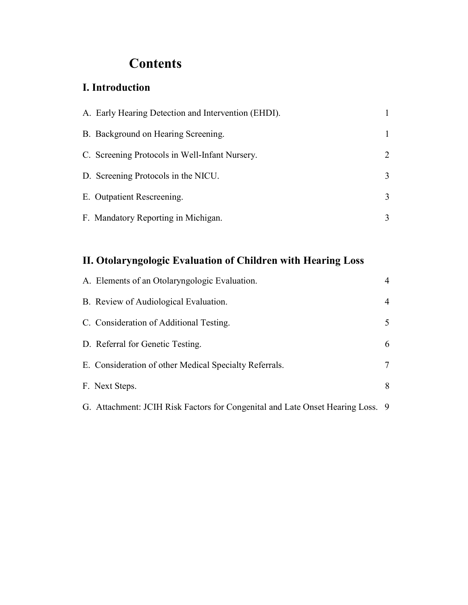## **Contents**

### I. Introduction

| A. Early Hearing Detection and Intervention (EHDI). |   |
|-----------------------------------------------------|---|
| B. Background on Hearing Screening.                 |   |
| C. Screening Protocols in Well-Infant Nursery.      | 2 |
| D. Screening Protocols in the NICU.                 |   |
| E. Outpatient Rescreening.                          |   |
| F. Mandatory Reporting in Michigan.                 |   |

## II. Otolaryngologic Evaluation of Children with Hearing Loss

| A. Elements of an Otolaryngologic Evaluation.                                  | 4 |
|--------------------------------------------------------------------------------|---|
| B. Review of Audiological Evaluation.                                          | 4 |
| C. Consideration of Additional Testing.                                        | 5 |
| D. Referral for Genetic Testing.                                               | 6 |
| E. Consideration of other Medical Specialty Referrals.                         | 7 |
| F. Next Steps.                                                                 | 8 |
| G. Attachment: JCIH Risk Factors for Congenital and Late Onset Hearing Loss. 9 |   |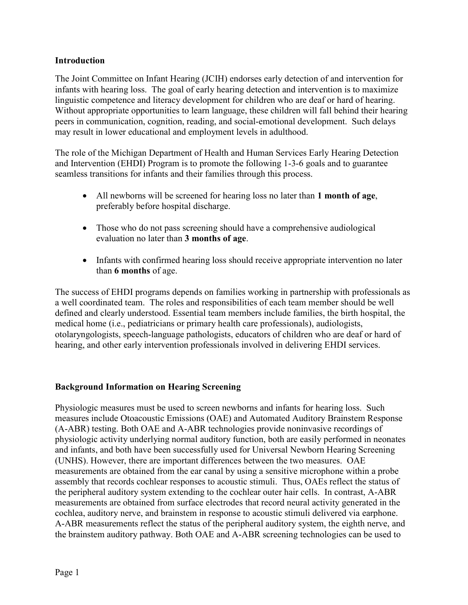#### Introduction

The Joint Committee on Infant Hearing (JCIH) endorses early detection of and intervention for infants with hearing loss. The goal of early hearing detection and intervention is to maximize linguistic competence and literacy development for children who are deaf or hard of hearing. Without appropriate opportunities to learn language, these children will fall behind their hearing peers in communication, cognition, reading, and social-emotional development. Such delays may result in lower educational and employment levels in adulthood.

The role of the Michigan Department of Health and Human Services Early Hearing Detection and Intervention (EHDI) Program is to promote the following 1-3-6 goals and to guarantee seamless transitions for infants and their families through this process.

- All newborns will be screened for hearing loss no later than 1 month of age, preferably before hospital discharge.
- Those who do not pass screening should have a comprehensive audiological evaluation no later than 3 months of age.
- Infants with confirmed hearing loss should receive appropriate intervention no later than 6 months of age.

The success of EHDI programs depends on families working in partnership with professionals as a well coordinated team. The roles and responsibilities of each team member should be well defined and clearly understood. Essential team members include families, the birth hospital, the medical home (i.e., pediatricians or primary health care professionals), audiologists, otolaryngologists, speech-language pathologists, educators of children who are deaf or hard of hearing, and other early intervention professionals involved in delivering EHDI services.

#### Background Information on Hearing Screening

Physiologic measures must be used to screen newborns and infants for hearing loss. Such measures include Otoacoustic Emissions (OAE) and Automated Auditory Brainstem Response (A-ABR) testing. Both OAE and A-ABR technologies provide noninvasive recordings of physiologic activity underlying normal auditory function, both are easily performed in neonates and infants, and both have been successfully used for Universal Newborn Hearing Screening (UNHS). However, there are important differences between the two measures. OAE measurements are obtained from the ear canal by using a sensitive microphone within a probe assembly that records cochlear responses to acoustic stimuli. Thus, OAEs reflect the status of the peripheral auditory system extending to the cochlear outer hair cells. In contrast, A-ABR measurements are obtained from surface electrodes that record neural activity generated in the cochlea, auditory nerve, and brainstem in response to acoustic stimuli delivered via earphone. A-ABR measurements reflect the status of the peripheral auditory system, the eighth nerve, and the brainstem auditory pathway. Both OAE and A-ABR screening technologies can be used to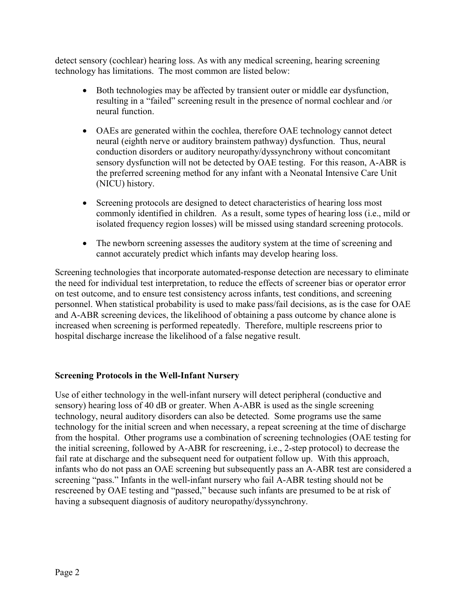detect sensory (cochlear) hearing loss. As with any medical screening, hearing screening technology has limitations. The most common are listed below:

- Both technologies may be affected by transient outer or middle ear dysfunction, resulting in a "failed" screening result in the presence of normal cochlear and /or neural function.
- OAEs are generated within the cochlea, therefore OAE technology cannot detect neural (eighth nerve or auditory brainstem pathway) dysfunction. Thus, neural conduction disorders or auditory neuropathy/dyssynchrony without concomitant sensory dysfunction will not be detected by OAE testing. For this reason, A-ABR is the preferred screening method for any infant with a Neonatal Intensive Care Unit (NICU) history.
- Screening protocols are designed to detect characteristics of hearing loss most commonly identified in children. As a result, some types of hearing loss (i.e., mild or isolated frequency region losses) will be missed using standard screening protocols.
- The newborn screening assesses the auditory system at the time of screening and cannot accurately predict which infants may develop hearing loss.

Screening technologies that incorporate automated-response detection are necessary to eliminate the need for individual test interpretation, to reduce the effects of screener bias or operator error on test outcome, and to ensure test consistency across infants, test conditions, and screening personnel. When statistical probability is used to make pass/fail decisions, as is the case for OAE and A-ABR screening devices, the likelihood of obtaining a pass outcome by chance alone is increased when screening is performed repeatedly. Therefore, multiple rescreens prior to hospital discharge increase the likelihood of a false negative result.

#### Screening Protocols in the Well-Infant Nursery

Use of either technology in the well-infant nursery will detect peripheral (conductive and sensory) hearing loss of 40 dB or greater. When A-ABR is used as the single screening technology, neural auditory disorders can also be detected. Some programs use the same technology for the initial screen and when necessary, a repeat screening at the time of discharge from the hospital. Other programs use a combination of screening technologies (OAE testing for the initial screening, followed by A-ABR for rescreening, i.e., 2-step protocol) to decrease the fail rate at discharge and the subsequent need for outpatient follow up. With this approach, infants who do not pass an OAE screening but subsequently pass an A-ABR test are considered a screening "pass." Infants in the well-infant nursery who fail A-ABR testing should not be rescreened by OAE testing and "passed," because such infants are presumed to be at risk of having a subsequent diagnosis of auditory neuropathy/dyssynchrony.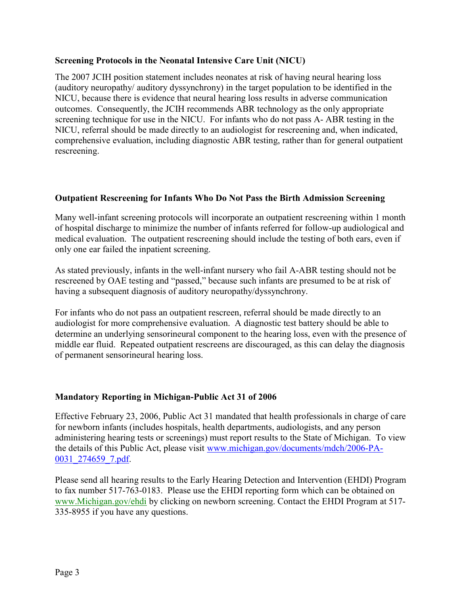#### Screening Protocols in the Neonatal Intensive Care Unit (NICU)

The 2007 JCIH position statement includes neonates at risk of having neural hearing loss (auditory neuropathy/ auditory dyssynchrony) in the target population to be identified in the NICU, because there is evidence that neural hearing loss results in adverse communication outcomes. Consequently, the JCIH recommends ABR technology as the only appropriate screening technique for use in the NICU. For infants who do not pass A- ABR testing in the NICU, referral should be made directly to an audiologist for rescreening and, when indicated, comprehensive evaluation, including diagnostic ABR testing, rather than for general outpatient rescreening.

#### Outpatient Rescreening for Infants Who Do Not Pass the Birth Admission Screening

Many well-infant screening protocols will incorporate an outpatient rescreening within 1 month of hospital discharge to minimize the number of infants referred for follow-up audiological and medical evaluation. The outpatient rescreening should include the testing of both ears, even if only one ear failed the inpatient screening.

As stated previously, infants in the well-infant nursery who fail A-ABR testing should not be rescreened by OAE testing and "passed," because such infants are presumed to be at risk of having a subsequent diagnosis of auditory neuropathy/dyssynchrony.

For infants who do not pass an outpatient rescreen, referral should be made directly to an audiologist for more comprehensive evaluation. A diagnostic test battery should be able to determine an underlying sensorineural component to the hearing loss, even with the presence of middle ear fluid. Repeated outpatient rescreens are discouraged, as this can delay the diagnosis of permanent sensorineural hearing loss.

#### Mandatory Reporting in Michigan-Public Act 31 of 2006

Effective February 23, 2006, Public Act 31 mandated that health professionals in charge of care for newborn infants (includes hospitals, health departments, audiologists, and any person administering hearing tests or screenings) must report results to the State of Michigan. To view the details of this Public Act, please visit www.michigan.gov/documents/mdch/2006-PA-0031\_274659\_7.pdf.

Please send all hearing results to the Early Hearing Detection and Intervention (EHDI) Program to fax number 517-763-0183. Please use the EHDI reporting form which can be obtained on www.Michigan.gov/ehdi by clicking on newborn screening. Contact the EHDI Program at 517- 335-8955 if you have any questions.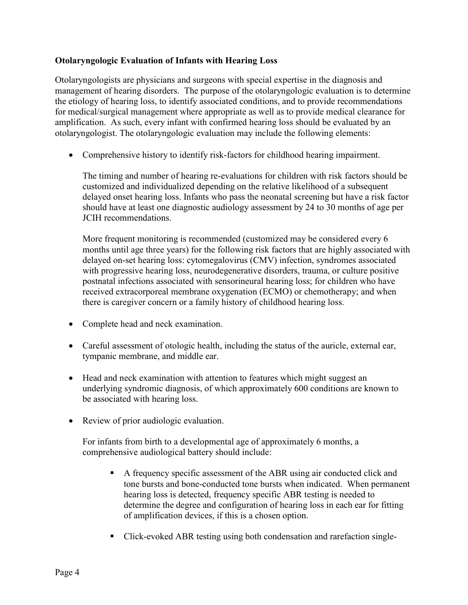#### Otolaryngologic Evaluation of Infants with Hearing Loss

Otolaryngologists are physicians and surgeons with special expertise in the diagnosis and management of hearing disorders. The purpose of the otolaryngologic evaluation is to determine the etiology of hearing loss, to identify associated conditions, and to provide recommendations for medical/surgical management where appropriate as well as to provide medical clearance for amplification. As such, every infant with confirmed hearing loss should be evaluated by an otolaryngologist. The otolaryngologic evaluation may include the following elements:

Comprehensive history to identify risk-factors for childhood hearing impairment.

The timing and number of hearing re-evaluations for children with risk factors should be customized and individualized depending on the relative likelihood of a subsequent delayed onset hearing loss. Infants who pass the neonatal screening but have a risk factor should have at least one diagnostic audiology assessment by 24 to 30 months of age per JCIH recommendations.

More frequent monitoring is recommended (customized may be considered every 6 months until age three years) for the following risk factors that are highly associated with delayed on-set hearing loss: cytomegalovirus (CMV) infection, syndromes associated with progressive hearing loss, neurodegenerative disorders, trauma, or culture positive postnatal infections associated with sensorineural hearing loss; for children who have received extracorporeal membrane oxygenation (ECMO) or chemotherapy; and when there is caregiver concern or a family history of childhood hearing loss.

- Complete head and neck examination.
- Careful assessment of otologic health, including the status of the auricle, external ear, tympanic membrane, and middle ear.
- Head and neck examination with attention to features which might suggest an underlying syndromic diagnosis, of which approximately 600 conditions are known to be associated with hearing loss.
- Review of prior audiologic evaluation.

For infants from birth to a developmental age of approximately 6 months, a comprehensive audiological battery should include:

- A frequency specific assessment of the ABR using air conducted click and tone bursts and bone-conducted tone bursts when indicated. When permanent hearing loss is detected, frequency specific ABR testing is needed to determine the degree and configuration of hearing loss in each ear for fitting of amplification devices, if this is a chosen option.
- Click-evoked ABR testing using both condensation and rarefaction single-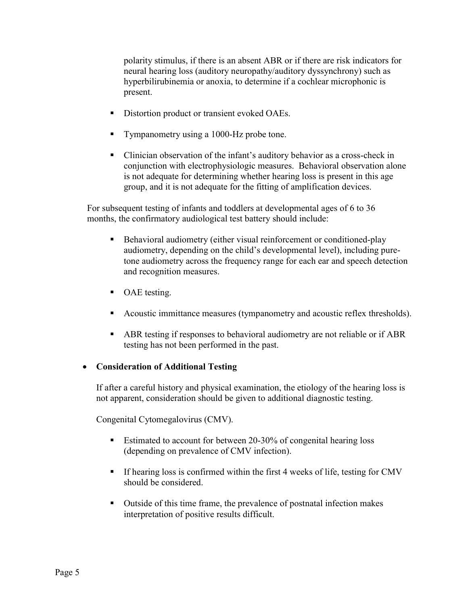polarity stimulus, if there is an absent ABR or if there are risk indicators for neural hearing loss (auditory neuropathy/auditory dyssynchrony) such as hyperbilirubinemia or anoxia, to determine if a cochlear microphonic is present.

- Distortion product or transient evoked OAEs.
- Tympanometry using a 1000-Hz probe tone.
- Clinician observation of the infant's auditory behavior as a cross-check in conjunction with electrophysiologic measures. Behavioral observation alone is not adequate for determining whether hearing loss is present in this age group, and it is not adequate for the fitting of amplification devices.

For subsequent testing of infants and toddlers at developmental ages of 6 to 36 months, the confirmatory audiological test battery should include:

- Behavioral audiometry (either visual reinforcement or conditioned-play audiometry, depending on the child's developmental level), including puretone audiometry across the frequency range for each ear and speech detection and recognition measures.
- OAE testing.
- Acoustic immittance measures (tympanometry and acoustic reflex thresholds).
- ABR testing if responses to behavioral audiometry are not reliable or if ABR testing has not been performed in the past.

#### Consideration of Additional Testing

If after a careful history and physical examination, the etiology of the hearing loss is not apparent, consideration should be given to additional diagnostic testing.

Congenital Cytomegalovirus (CMV).

- Estimated to account for between 20-30% of congenital hearing loss (depending on prevalence of CMV infection).
- If hearing loss is confirmed within the first 4 weeks of life, testing for CMV should be considered.
- Outside of this time frame, the prevalence of postnatal infection makes interpretation of positive results difficult.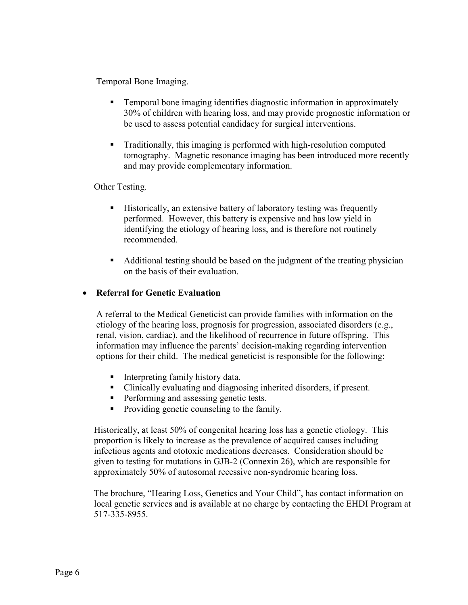Temporal Bone Imaging.

- Temporal bone imaging identifies diagnostic information in approximately 30% of children with hearing loss, and may provide prognostic information or be used to assess potential candidacy for surgical interventions.
- Traditionally, this imaging is performed with high-resolution computed tomography. Magnetic resonance imaging has been introduced more recently and may provide complementary information.

#### Other Testing.

- Historically, an extensive battery of laboratory testing was frequently performed. However, this battery is expensive and has low yield in identifying the etiology of hearing loss, and is therefore not routinely recommended.
- Additional testing should be based on the judgment of the treating physician on the basis of their evaluation.

#### Referral for Genetic Evaluation

A referral to the Medical Geneticist can provide families with information on the etiology of the hearing loss, prognosis for progression, associated disorders (e.g., renal, vision, cardiac), and the likelihood of recurrence in future offspring. This information may influence the parents' decision-making regarding intervention options for their child. The medical geneticist is responsible for the following:

- Interpreting family history data.
- Clinically evaluating and diagnosing inherited disorders, if present.
- **Performing and assessing genetic tests.**
- Providing genetic counseling to the family.

Historically, at least 50% of congenital hearing loss has a genetic etiology. This proportion is likely to increase as the prevalence of acquired causes including infectious agents and ototoxic medications decreases. Consideration should be given to testing for mutations in GJB-2 (Connexin 26), which are responsible for approximately 50% of autosomal recessive non-syndromic hearing loss.

The brochure, "Hearing Loss, Genetics and Your Child", has contact information on local genetic services and is available at no charge by contacting the EHDI Program at 517-335-8955.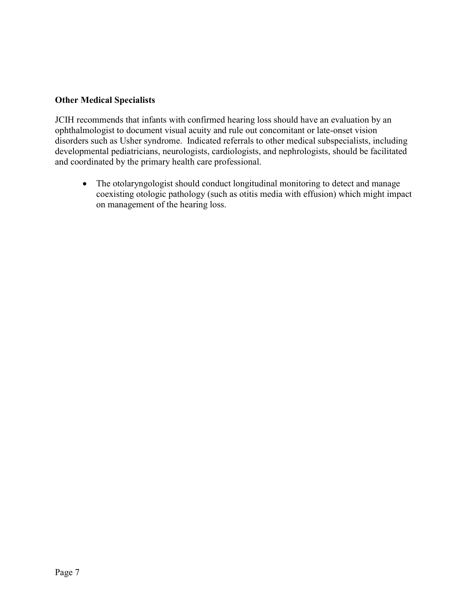#### Other Medical Specialists

JCIH recommends that infants with confirmed hearing loss should have an evaluation by an ophthalmologist to document visual acuity and rule out concomitant or late-onset vision disorders such as Usher syndrome. Indicated referrals to other medical subspecialists, including developmental pediatricians, neurologists, cardiologists, and nephrologists, should be facilitated and coordinated by the primary health care professional.

 The otolaryngologist should conduct longitudinal monitoring to detect and manage coexisting otologic pathology (such as otitis media with effusion) which might impact on management of the hearing loss.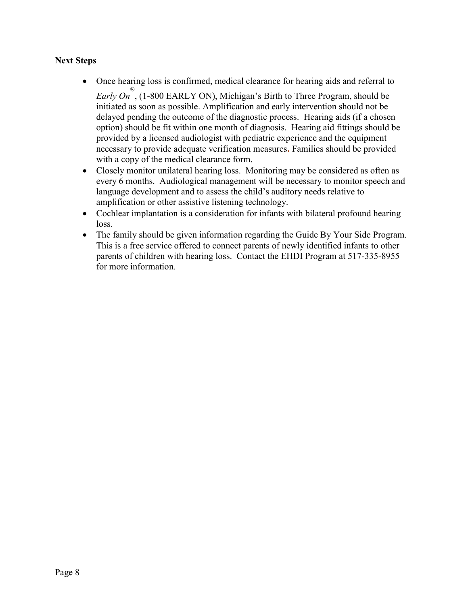#### Next Steps

 Once hearing loss is confirmed, medical clearance for hearing aids and referral to *Early On*<sup>®</sup>, (1-800 EARLY ON), Michigan's Birth to Three Program, should be

initiated as soon as possible. Amplification and early intervention should not be delayed pending the outcome of the diagnostic process. Hearing aids (if a chosen option) should be fit within one month of diagnosis. Hearing aid fittings should be provided by a licensed audiologist with pediatric experience and the equipment necessary to provide adequate verification measures. Families should be provided with a copy of the medical clearance form.

- Closely monitor unilateral hearing loss. Monitoring may be considered as often as every 6 months. Audiological management will be necessary to monitor speech and language development and to assess the child's auditory needs relative to amplification or other assistive listening technology.
- Cochlear implantation is a consideration for infants with bilateral profound hearing loss.
- The family should be given information regarding the Guide By Your Side Program. This is a free service offered to connect parents of newly identified infants to other parents of children with hearing loss. Contact the EHDI Program at 517-335-8955 for more information.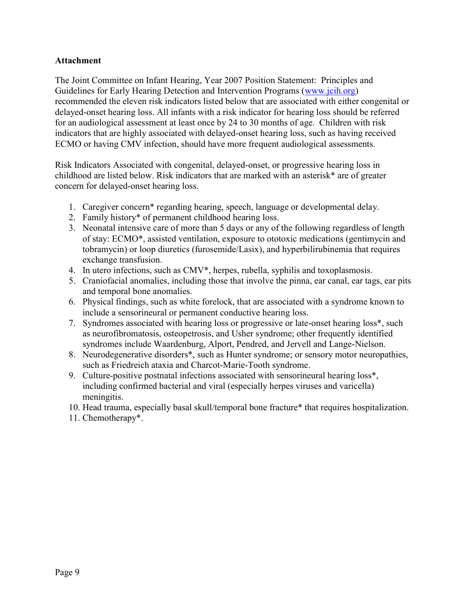#### Attachment

The Joint Committee on Infant Hearing, Year 2007 Position Statement: Principles and Guidelines for Early Hearing Detection and Intervention Programs (www.jcih.org) recommended the eleven risk indicators listed below that are associated with either congenital or delayed-onset hearing loss. All infants with a risk indicator for hearing loss should be referred for an audiological assessment at least once by 24 to 30 months of age. Children with risk indicators that are highly associated with delayed-onset hearing loss, such as having received ECMO or having CMV infection, should have more frequent audiological assessments.

Risk Indicators Associated with congenital, delayed-onset, or progressive hearing loss in childhood are listed below. Risk indicators that are marked with an asterisk\* are of greater concern for delayed-onset hearing loss.

- 1. Caregiver concern\* regarding hearing, speech, language or developmental delay.
- 2. Family history\* of permanent childhood hearing loss.
- 3. Neonatal intensive care of more than 5 days or any of the following regardless of length of stay: ECMO\*, assisted ventilation, exposure to ototoxic medications (gentimycin and tobramycin) or loop diuretics (furosemide/Lasix), and hyperbilirubinemia that requires exchange transfusion.
- 4. In utero infections, such as CMV\*, herpes, rubella, syphilis and toxoplasmosis.
- 5. Craniofacial anomalies, including those that involve the pinna, ear canal, ear tags, ear pits and temporal bone anomalies.
- 6. Physical findings, such as white forelock, that are associated with a syndrome known to include a sensorineural or permanent conductive hearing loss.
- 7. Syndromes associated with hearing loss or progressive or late-onset hearing loss\*, such as neurofibromatosis, osteopetrosis, and Usher syndrome; other frequently identified syndromes include Waardenburg, Alport, Pendred, and Jervell and Lange-Nielson.
- 8. Neurodegenerative disorders\*, such as Hunter syndrome; or sensory motor neuropathies, such as Friedreich ataxia and Charcot-Marie-Tooth syndrome.
- 9. Culture-positive postnatal infections associated with sensorineural hearing loss\*, including confirmed bacterial and viral (especially herpes viruses and varicella) meningitis.
- 10. Head trauma, especially basal skull/temporal bone fracture\* that requires hospitalization.
- 11. Chemotherapy\*.